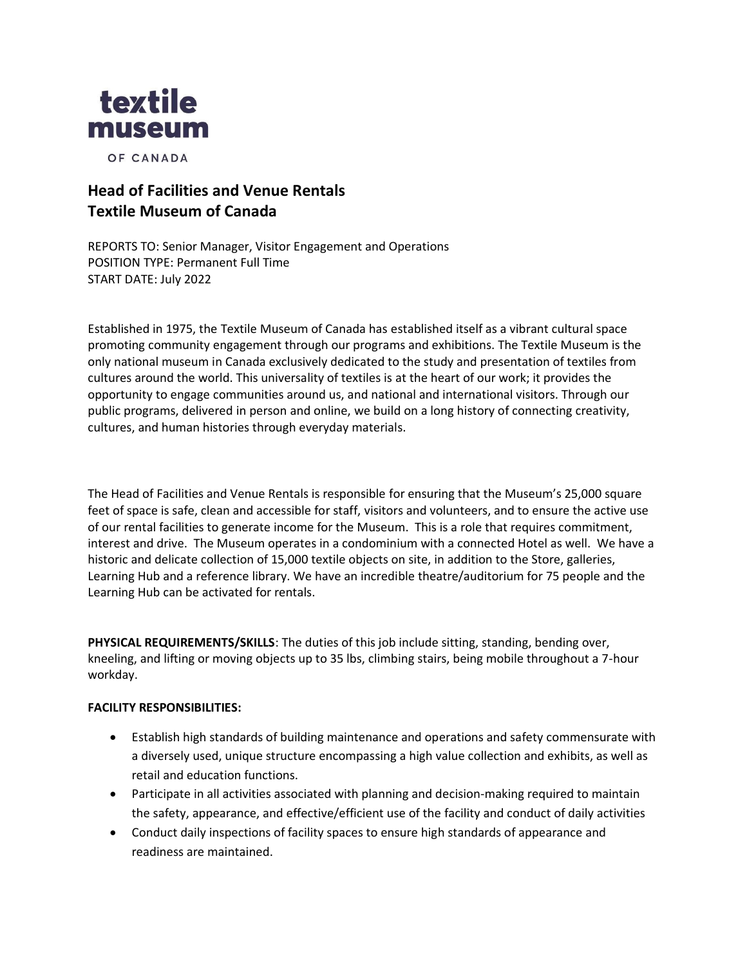

OF CANADA

# **Head of Facilities and Venue Rentals Textile Museum of Canada**

REPORTS TO: Senior Manager, Visitor Engagement and Operations POSITION TYPE: Permanent Full Time START DATE: July 2022

Established in 1975, the Textile Museum of Canada has established itself as a vibrant cultural space promoting community engagement through our programs and exhibitions. The Textile Museum is the only national museum in Canada exclusively dedicated to the study and presentation of textiles from cultures around the world. This universality of textiles is at the heart of our work; it provides the opportunity to engage communities around us, and national and international visitors. Through our public programs, delivered in person and online, we build on a long history of connecting creativity, cultures, and human histories through everyday materials.

The Head of Facilities and Venue Rentals is responsible for ensuring that the Museum's 25,000 square feet of space is safe, clean and accessible for staff, visitors and volunteers, and to ensure the active use of our rental facilities to generate income for the Museum. This is a role that requires commitment, interest and drive. The Museum operates in a condominium with a connected Hotel as well. We have a historic and delicate collection of 15,000 textile objects on site, in addition to the Store, galleries, Learning Hub and a reference library. We have an incredible theatre/auditorium for 75 people and the Learning Hub can be activated for rentals.

**PHYSICAL REQUIREMENTS/SKILLS**: The duties of this job include sitting, standing, bending over, kneeling, and lifting or moving objects up to 35 lbs, climbing stairs, being mobile throughout a 7-hour workday.

### **FACILITY RESPONSIBILITIES:**

- Establish high standards of building maintenance and operations and safety commensurate with a diversely used, unique structure encompassing a high value collection and exhibits, as well as retail and education functions.
- Participate in all activities associated with planning and decision-making required to maintain the safety, appearance, and effective/efficient use of the facility and conduct of daily activities
- Conduct daily inspections of facility spaces to ensure high standards of appearance and readiness are maintained.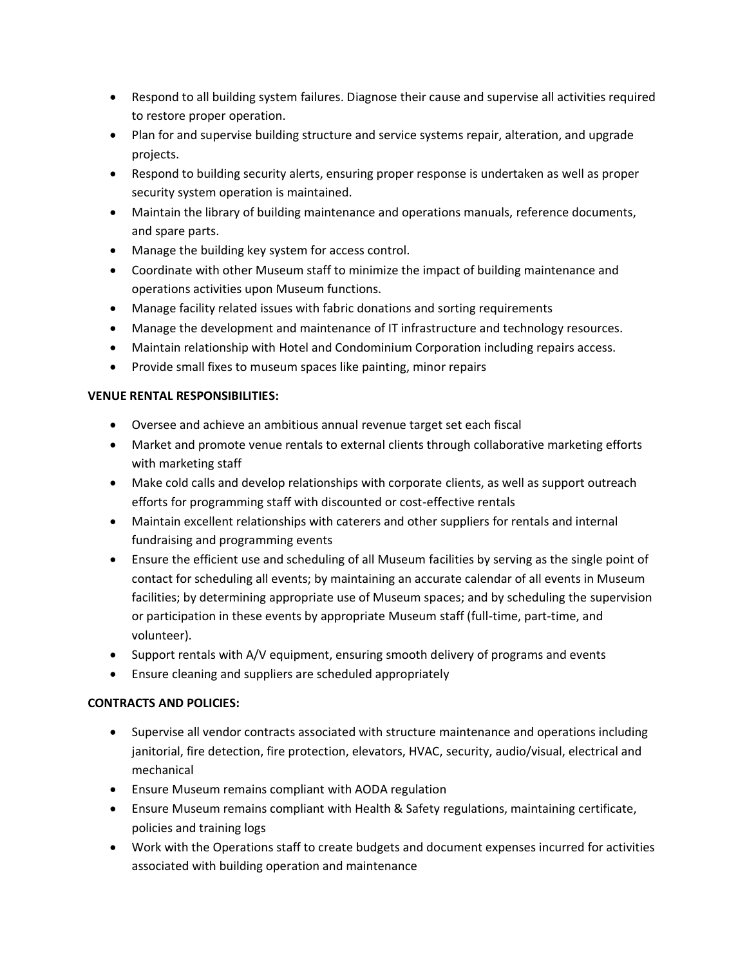- Respond to all building system failures. Diagnose their cause and supervise all activities required to restore proper operation.
- Plan for and supervise building structure and service systems repair, alteration, and upgrade projects.
- Respond to building security alerts, ensuring proper response is undertaken as well as proper security system operation is maintained.
- Maintain the library of building maintenance and operations manuals, reference documents, and spare parts.
- Manage the building key system for access control.
- Coordinate with other Museum staff to minimize the impact of building maintenance and operations activities upon Museum functions.
- Manage facility related issues with fabric donations and sorting requirements
- Manage the development and maintenance of IT infrastructure and technology resources.
- Maintain relationship with Hotel and Condominium Corporation including repairs access.
- Provide small fixes to museum spaces like painting, minor repairs

# **VENUE RENTAL RESPONSIBILITIES:**

- Oversee and achieve an ambitious annual revenue target set each fiscal
- Market and promote venue rentals to external clients through collaborative marketing efforts with marketing staff
- Make cold calls and develop relationships with corporate clients, as well as support outreach efforts for programming staff with discounted or cost-effective rentals
- Maintain excellent relationships with caterers and other suppliers for rentals and internal fundraising and programming events
- Ensure the efficient use and scheduling of all Museum facilities by serving as the single point of contact for scheduling all events; by maintaining an accurate calendar of all events in Museum facilities; by determining appropriate use of Museum spaces; and by scheduling the supervision or participation in these events by appropriate Museum staff (full-time, part-time, and volunteer).
- Support rentals with A/V equipment, ensuring smooth delivery of programs and events
- Ensure cleaning and suppliers are scheduled appropriately

# **CONTRACTS AND POLICIES:**

- Supervise all vendor contracts associated with structure maintenance and operations including janitorial, fire detection, fire protection, elevators, HVAC, security, audio/visual, electrical and mechanical
- Ensure Museum remains compliant with AODA regulation
- Ensure Museum remains compliant with Health & Safety regulations, maintaining certificate, policies and training logs
- Work with the Operations staff to create budgets and document expenses incurred for activities associated with building operation and maintenance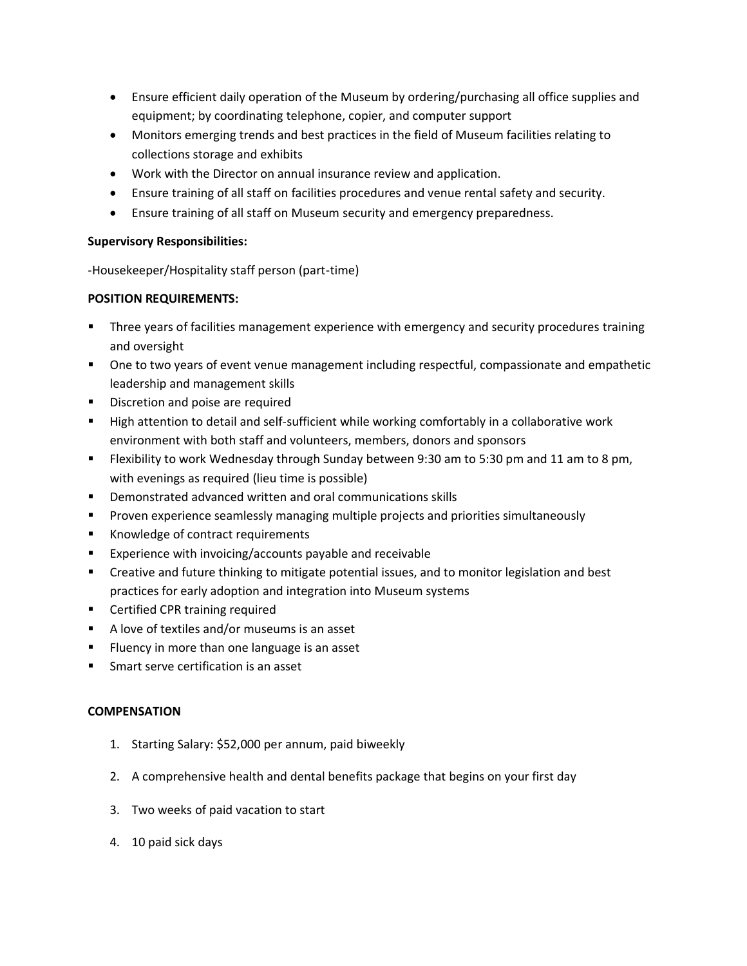- Ensure efficient daily operation of the Museum by ordering/purchasing all office supplies and equipment; by coordinating telephone, copier, and computer support
- Monitors emerging trends and best practices in the field of Museum facilities relating to collections storage and exhibits
- Work with the Director on annual insurance review and application.
- Ensure training of all staff on facilities procedures and venue rental safety and security.
- Ensure training of all staff on Museum security and emergency preparedness.

## **Supervisory Responsibilities:**

-Housekeeper/Hospitality staff person (part-time)

# **POSITION REQUIREMENTS:**

- Three years of facilities management experience with emergency and security procedures training and oversight
- One to two years of event venue management including respectful, compassionate and empathetic leadership and management skills
- **■** Discretion and poise are required
- High attention to detail and self-sufficient while working comfortably in a collaborative work environment with both staff and volunteers, members, donors and sponsors
- **EXECT FIEXIBILITY TO WORK Wednesday through Sunday between 9:30 am to 5:30 pm and 11 am to 8 pm,** with evenings as required (lieu time is possible)
- Demonstrated advanced written and oral communications skills
- **•** Proven experience seamlessly managing multiple projects and priorities simultaneously
- Knowledge of contract requirements
- Experience with invoicing/accounts payable and receivable
- Creative and future thinking to mitigate potential issues, and to monitor legislation and best practices for early adoption and integration into Museum systems
- Certified CPR training required
- A love of textiles and/or museums is an asset
- Fluency in more than one language is an asset
- Smart serve certification is an asset

# **COMPENSATION**

- 1. Starting Salary: \$52,000 per annum, paid biweekly
- 2. A comprehensive health and dental benefits package that begins on your first day
- 3. Two weeks of paid vacation to start
- 4. 10 paid sick days